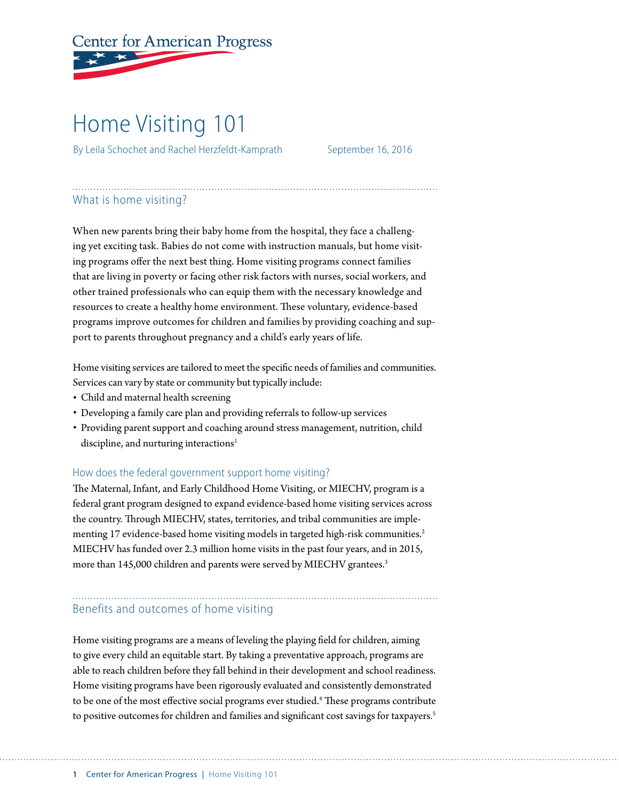# **Center for American Progress**

## Home Visiting 101

By Leila Schochet and Rachel Herzfeldt-Kamprath September 16, 2016

### What is home visiting?

When new parents bring their baby home from the hospital, they face a challenging yet exciting task. Babies do not come with instruction manuals, but home visiting programs offer the next best thing. Home visiting programs connect families that are living in poverty or facing other risk factors with nurses, social workers, and other trained professionals who can equip them with the necessary knowledge and resources to create a healthy home environment. These voluntary, evidence-based programs improve outcomes for children and families by providing coaching and support to parents throughout pregnancy and a child's early years of life.

Home visiting services are tailored to meet the specific needs of families and communities. Services can vary by state or community but typically include:

- Child and maternal health screening
- Developing a family care plan and providing referrals to follow-up services
- Providing parent support and coaching around stress management, nutrition, child discipline, and nurturing interactions<sup>1</sup>

#### How does the federal government support home visiting?

The Maternal, Infant, and Early Childhood Home Visiting, or MIECHV, program is a federal grant program designed to expand evidence-based home visiting services across the country. Through MIECHV, states, territories, and tribal communities are implementing 17 evidence-based home visiting models in targeted high-risk communities.<sup>2</sup> MIECHV has funded over 2.3 million home visits in the past four years, and in 2015, more than 145,000 children and parents were served by MIECHV grantees.<sup>3</sup>

#### Benefits and outcomes of home visiting

Home visiting programs are a means of leveling the playing field for children, aiming to give every child an equitable start. By taking a preventative approach, programs are able to reach children before they fall behind in their development and school readiness. Home visiting programs have been rigorously evaluated and consistently demonstrated to be one of the most effective social programs ever studied.<sup>4</sup> These programs contribute to positive outcomes for children and families and significant cost savings for taxpayers.<sup>5</sup>